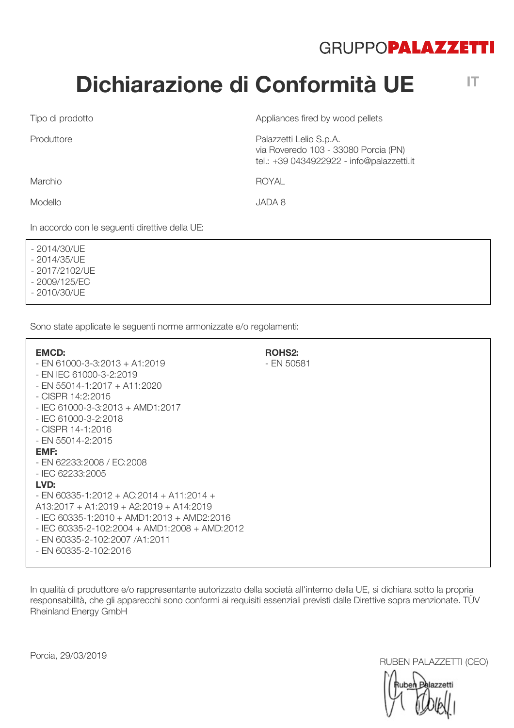

## Dichiarazione di Conformità UE **IT**

Tipo di prodotto Appliances fired by wood pellets

Produttore Palazzetti Lelio S.p.A. via Roveredo 103 - 33080 Porcia (PN) tel.: +39 0434922922 - info@palazzetti.it

Marchio **ROYAL** 

Modello JADA 8

In accordo con le seguenti direttive della UE:

- 2014/30/UE - 2014/35/UE - 2017/2102/UE

- 2009/125/EC

- 2010/30/UE

Sono state applicate le seguenti norme armonizzate e/o regolamenti:

| EMCD:<br>- EN 61000-3-3:2013 + A1:2019<br>- EN IEC 61000-3-2:2019<br>$-$ EN 55014-1:2017 + A11:2020<br>- CISPR 14:2:2015<br>- IEC 61000-3-3:2013 + AMD1:2017<br>- IEC 61000-3-2:2018<br>$-$ CISPR 14-1:2016<br>- EN 55014-2:2015<br>EMF:<br>- EN 62233:2008 / EC:2008<br>- IEC 62233:2005<br>LVD:<br>$-$ EN 60335-1:2012 + AC:2014 + A11:2014 +<br>$A13:2017 + A1:2019 + A2:2019 + A14:2019$<br>$-$ IEC 60335-1:2010 + AMD1:2013 + AMD2:2016<br>$-$ IEC 60335-2-102:2004 + AMD1:2008 + AMD:2012 | <b>ROHS2:</b><br>- EN 50581 |
|-------------------------------------------------------------------------------------------------------------------------------------------------------------------------------------------------------------------------------------------------------------------------------------------------------------------------------------------------------------------------------------------------------------------------------------------------------------------------------------------------|-----------------------------|
| - EN 60335-2-102:2007 /A1:2011<br>- EN 60335-2-102:2016                                                                                                                                                                                                                                                                                                                                                                                                                                         |                             |

In qualità diproduttore e/o rappresentante autorizzato della società all'interno della UE, si dichiara sotto la propria responsabilità, che gli apparecchi sono conformi ai requisiti essenziali previsti dalle Direttive sopra menzionate. TÜV Rheinland Energy GmbH

dazzetti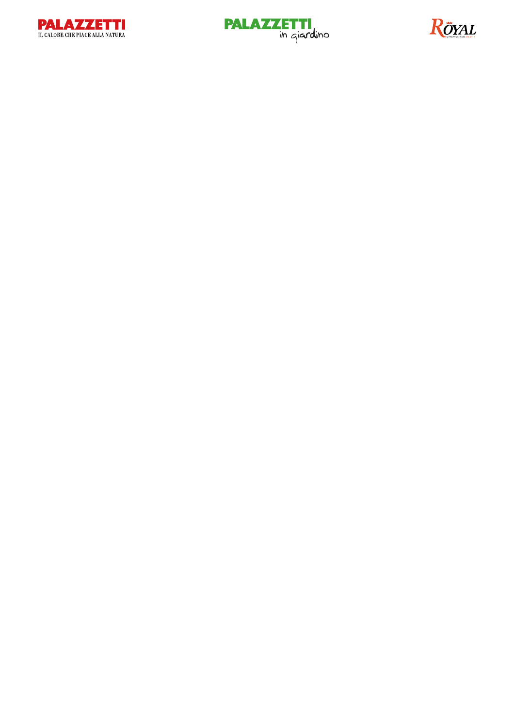



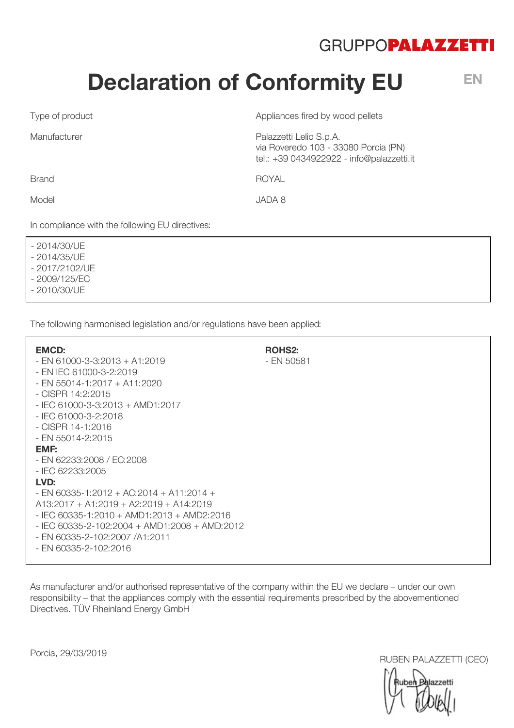## Declaration of Conformity EU **EN**

| Type of product | Appliances fired by wood pellets                                                                             |
|-----------------|--------------------------------------------------------------------------------------------------------------|
| Manufacturer    | Palazzetti Lelio S.p.A.<br>via Roveredo 103 - 33080 Porcia (PN)<br>tel.: +39 0434922922 - info@palazzetti.it |
| <b>Brand</b>    | <b>ROYAL</b>                                                                                                 |
| Model           | JADA 8                                                                                                       |

In compliance with the following EU directives:

- 2014/30/UE

- 2014/35/UE

- 2017/2102/UE

- 2009/125/EC - 2010/30/UE

The following harmonised legislation and/or regulations have been applied:

| <b>EMCD:</b>                                             | <b>ROHS2:</b> |
|----------------------------------------------------------|---------------|
| - EN 61000-3-3:2013 + A1:2019<br>- EN IEC 61000-3-2:2019 | - EN 50581    |
| - EN 55014-1:2017 + A11:2020                             |               |
| - CISPR 14:2:2015                                        |               |
| $-$ IEC 61000-3-3:2013 + AMD1:2017                       |               |
| - IEC 61000-3-2:2018                                     |               |
| - CISPR 14-1:2016                                        |               |
| - EN 55014-2:2015                                        |               |
| EMF:                                                     |               |
| - EN 62233:2008 / EC:2008                                |               |
| - IEC 62233:2005                                         |               |
| LVD:                                                     |               |
| $-$ FN 60335-1:2012 + AC:2014 + A11:2014 +               |               |
| $A13:2017 + A1:2019 + A2:2019 + A14:2019$                |               |
| $-$ IEC 60335-1:2010 + AMD1:2013 + AMD2:2016             |               |
| $-$ IFC 60335-2-102:2004 + AMD1:2008 + AMD:2012          |               |
| - EN 60335-2-102:2007 /A1:2011                           |               |
| - FN 60335-2-102:2016                                    |               |

As manufacturer and/or authorised representative of the company within the EU we declare – under our own responsibility – that the appliances comply with the essential requirements prescribed by the abovementioned Directives. TÜV Rheinland Energy GmbH

Porcia, 29/03/2019<br>
RUBEN PALAZZETTI (CEO)

# **Palazzetti**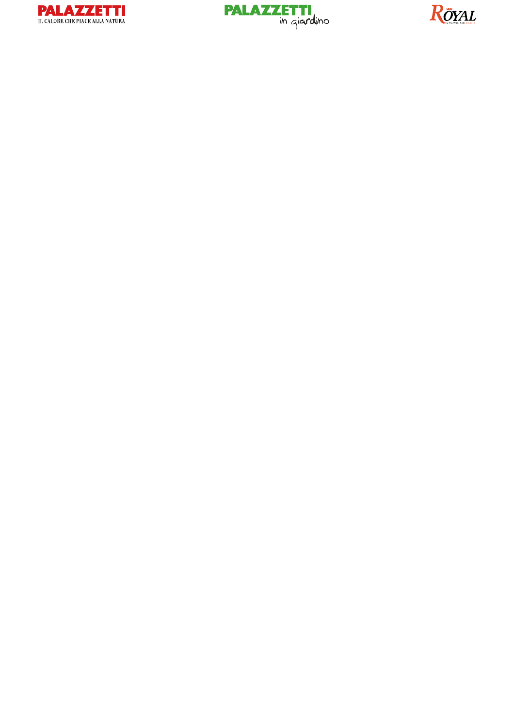



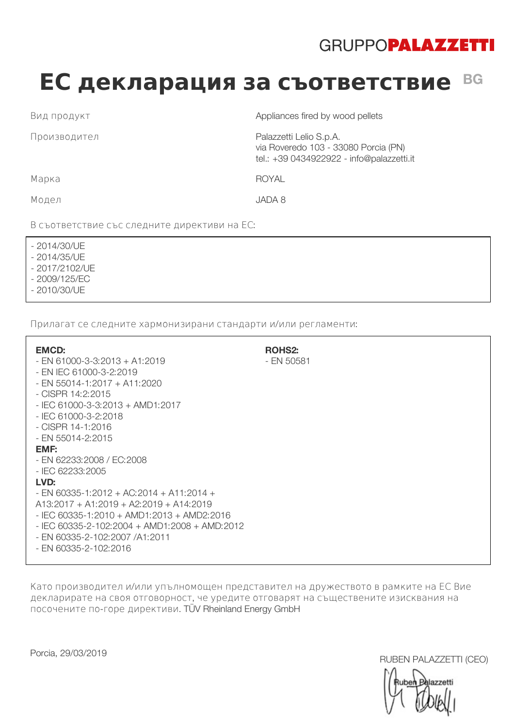

### **ЕС декларация за съответствие** BG

Вид продукт **Appliances fired by wood pellets** Appliances fired by wood pellets

Производител **Palazzetti Lelio S.p.A.** via Roveredo 103 - 33080 Porcia (PN) tel.: +39 0434922922 - info@palazzetti.it

Марка в совмещении при воспорта ROYAL

В съответствие със следните директиви на ЕС:

Модел JADA 8

- 2014/30/UE

- 2014/35/UE

- 2017/2102/UE

- 2009/125/EC

- 2010/30/UE

Прилагат се следните хармонизирани стандарти и/или регламенти:

#### EMCD:

- EN 61000-3-3:2013 + A1:2019

- EN IEC 61000-3-2:2019
- EN 55014-1:2017 + A11:2020
- CISPR 14:2:2015
- IEC 61000-3-3:2013 + AMD1:2017
- IEC 61000-3-2:2018
- CISPR 14-1:2016
- EN 55014-2:2015

#### EMF:

- EN 62233:2008 / EC:2008
- IEC 62233:2005

#### LVD:

- EN 60335-1:2012 + AC:2014 + A11:2014 +

#### A13:2017 + A1:2019 + A2:2019 + A14:2019

- IEC 60335-1:2010 + AMD1:2013 + AMD2:2016
- IEC 60335-2-102:2004 + AMD1:2008 + AMD:2012
- EN 60335-2-102:2007 /A1:2011
- EN 60335-2-102:2016

Като производител и/или упълномощен представител на дружеството в рамките на ЕС Вие декларирате на своя отговорност, че уредите отговарят на съществените изисквания на посочените по-горе директиви. TÜV Rheinland Energy GmbH

#### ROHS2:

- EN 50581

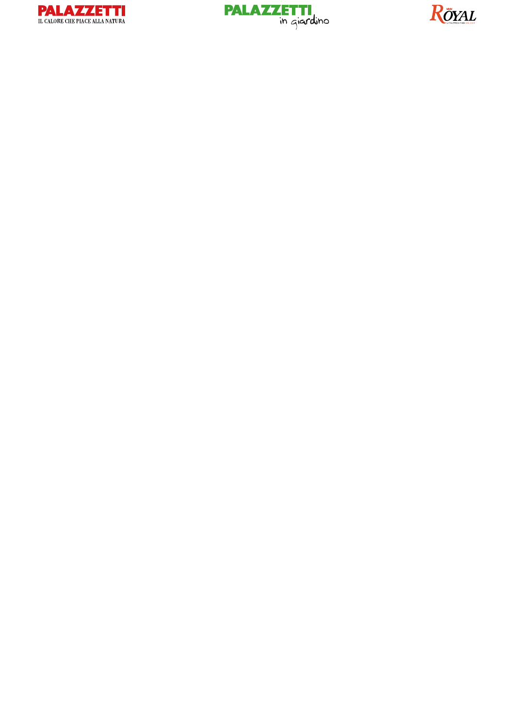



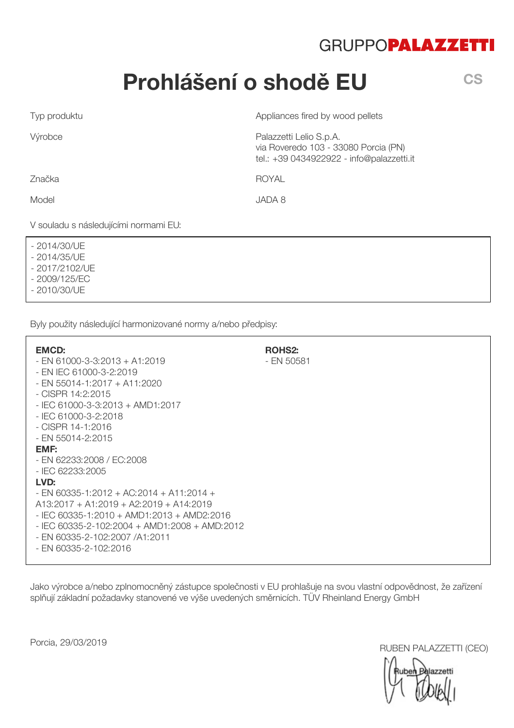

### Prohlášení o shodě EU staroval kontrol

Typ produktu Appliances fired by wood pellets

Výrobce Palazzetti Lelio S.p.A. via Roveredo 103 - 33080 Porcia (PN) tel.: +39 0434922922 - info@palazzetti.it

Značka komunističnom kontrologija i komunističnom kontrologija i komunističnom komunističnom komunističnom kom

Model JADA 8

V souladu s následujícími normami EU:

- 2014/30/UE

- 2014/35/UE

- 2017/2102/UE

- 2009/125/EC

- 2010/30/UE

Byly použity následující harmonizované normy a/nebo předpisy:

| <b>EMCD:</b><br>- EN 61000-3-3:2013 + A1:2019              | <b>ROHS2:</b><br>- EN 50581 |
|------------------------------------------------------------|-----------------------------|
| - EN IEC 61000-3-2:2019                                    |                             |
| - EN 55014-1:2017 + A11:2020                               |                             |
| $-$ CISPR 14:2:2015                                        |                             |
| $-$ IEC 61000-3-3:2013 + AMD1:2017<br>- IEC 61000-3-2:2018 |                             |
| $-$ CISPR 14-1:2016                                        |                             |
| - EN 55014-2:2015                                          |                             |
| EMF:                                                       |                             |
| - EN 62233:2008 / EC:2008                                  |                             |
| - IEC 62233:2005                                           |                             |
| LVD:                                                       |                             |
| $-$ EN 60335-1:2012 + AC:2014 + A11:2014 +                 |                             |
| $A13:2017 + A1:2019 + A2:2019 + A14:2019$                  |                             |
| - IEC 60335-1:2010 + AMD1:2013 + AMD2:2016                 |                             |
| $-$ IEC 60335-2-102:2004 + AMD1:2008 + AMD:2012            |                             |
| - EN 60335-2-102:2007 /A1:2011                             |                             |
| - EN 60335-2-102:2016                                      |                             |

Jako výrobce a/nebo zplnomocněný zástupce společnosti v EU prohlašuje na svou vlastní odpovědnost, že zařízení splňují základní požadavky stanovené ve výše uvedených směrnicích. TÜV Rheinland Energy GmbH

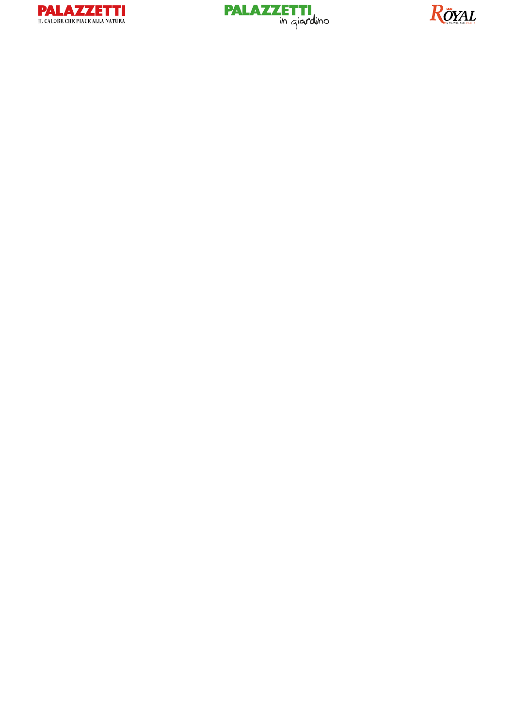



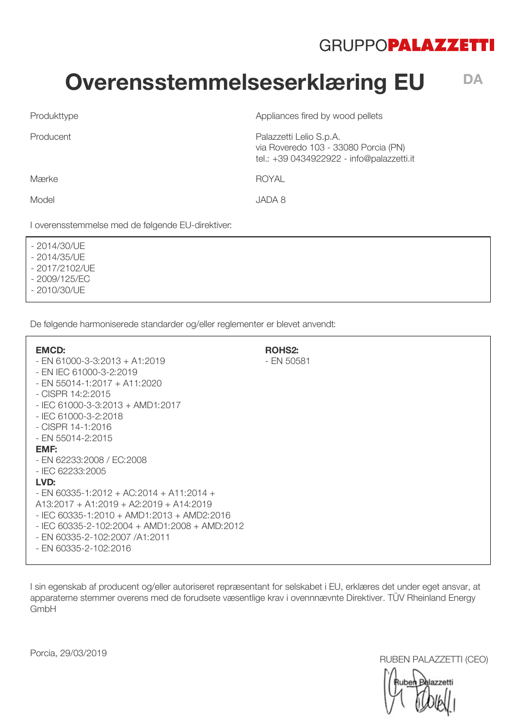### Overensstemmelseserklæring EU DA

| Produkttype | Appliances fired by wood pellets                                                                             |
|-------------|--------------------------------------------------------------------------------------------------------------|
| Producent   | Palazzetti Lelio S.p.A.<br>via Roveredo 103 - 33080 Porcia (PN)<br>tel.: +39 0434922922 - info@palazzetti.it |
| Mærke       | <b>ROYAL</b>                                                                                                 |
| Model       | JADA 8                                                                                                       |

I overensstemmelse med de følgende EU-direktiver:

- 2014/30/UE - 2014/35/UE

- 2017/2102/UE

- 2009/125/EC

- 2010/30/UE

De følgende harmoniserede standarder og/eller reglementer er blevet anvendt:

| <b>EMCD:</b>                                    | <b>ROHS2:</b> |
|-------------------------------------------------|---------------|
| - EN 61000-3-3:2013 + A1:2019                   | - EN 50581    |
| - EN IEC 61000-3-2:2019                         |               |
| - EN 55014-1:2017 + A11:2020                    |               |
| - CISPR 14:2:2015                               |               |
| - IEC 61000-3-3:2013 + AMD1:2017                |               |
| - IEC 61000-3-2:2018                            |               |
| $-$ CISPR 14-1:2016                             |               |
| - EN 55014-2:2015                               |               |
| EMF:                                            |               |
| - EN 62233:2008 / EC:2008                       |               |
| - IEC 62233:2005                                |               |
| LVD:                                            |               |
| $-$ EN 60335-1:2012 + AC:2014 + A11:2014 +      |               |
| $A13:2017 + A1:2019 + A2:2019 + A14:2019$       |               |
| $-$ IEC 60335-1:2010 + AMD1:2013 + AMD2:2016    |               |
| $-$ IEC 60335-2-102:2004 + AMD1:2008 + AMD:2012 |               |
| - EN 60335-2-102:2007 / A1:2011                 |               |
| - EN 60335-2-102:2016                           |               |

I sin egenskab af producent og/eller autoriseret repræsentant for selskabet i EU, erklæres det under eget ansvar, at apparaterne stemmer overens med de forudsete væsentlige krav i ovennnævnte Direktiver. TÜV Rheinland Energy GmbH

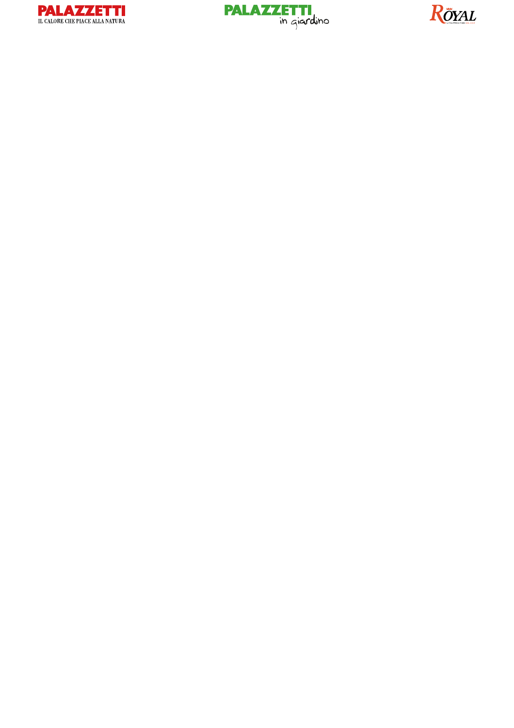



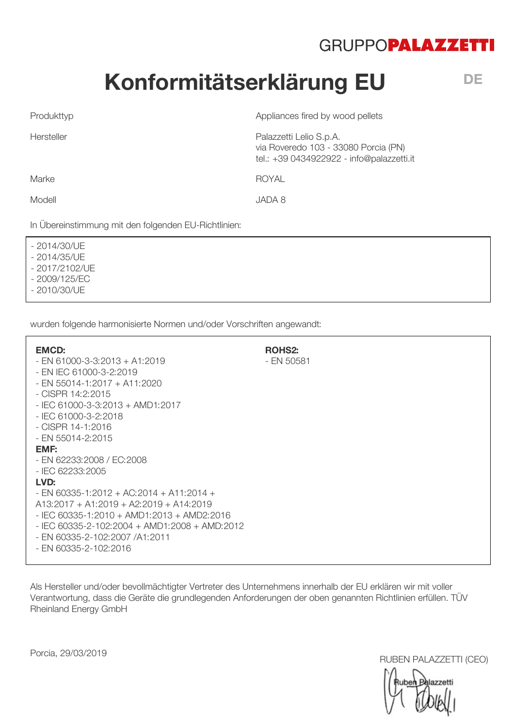

### Konformitätserklärung EU DE

Produkttyp **Appliances** fired by wood pellets Hersteller **Palazzetti Lelio S.p.A.** via Roveredo 103 - 33080 Porcia (PN) tel.: +39 0434922922 - info@palazzetti.it Marke ROYAL Modell JADA 8

In Übereinstimmung mit den folgenden EU-Richtlinien:

- 2014/30/UE

- 2014/35/UE

- 2017/2102/UE

- 2009/125/EC - 2010/30/UE

wurden folgende harmonisierte Normen und/oder Vorschriften angewandt:

EMCD: - EN 61000-3-3:2013 + A1:2019 - EN IEC 61000-3-2:2019 - EN 55014-1:2017 + A11:2020 - CISPR 14:2:2015 - IEC 61000-3-3:2013 + AMD1:2017 - IEC 61000-3-2:2018 - CISPR 14-1:2016 - EN 55014-2:2015 EMF: - EN 62233:2008 / EC:2008 - IEC 62233:2005 LVD: - EN 60335-1:2012 + AC:2014 + A11:2014 + A13:2017 + A1:2019 + A2:2019 + A14:2019 - IEC 60335-1:2010 + AMD1:2013 + AMD2:2016 - IEC 60335-2-102:2004 + AMD1:2008 + AMD:2012 - EN 60335-2-102:2007 /A1:2011 - EN 60335-2-102:2016 ROHS2: - EN 50581

Als Hersteller und/oder bevollmächtigter Vertreter des Unternehmens innerhalb der EU erklären wir mit voller Verantwortung, dass die Geräte die grundlegenden Anforderungen der oben genannten Richtlinien erfüllen. TÜV Rheinland Energy GmbH

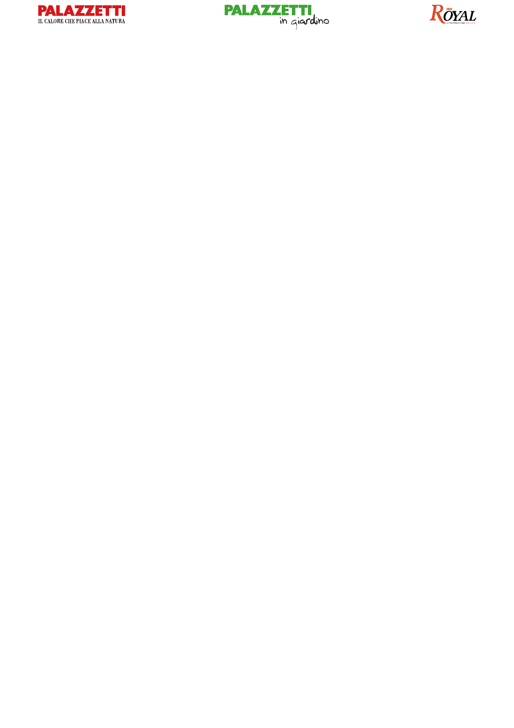



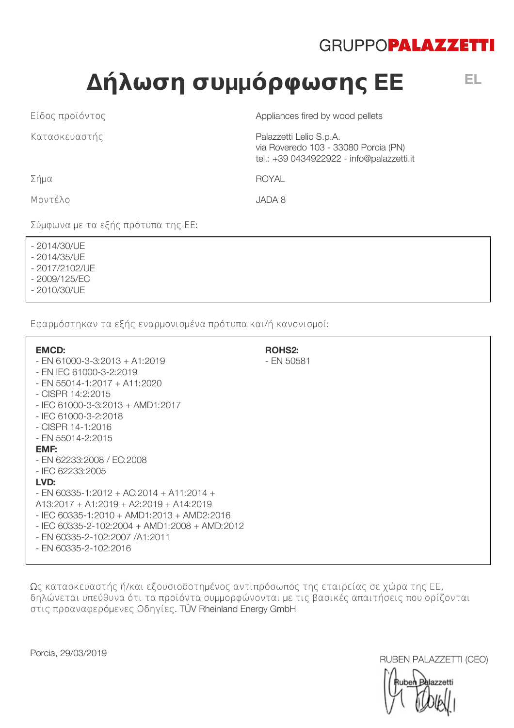## Δ**ήλωση συμμόρφωσης ΕΕ** ΕΙ

Είδος προϊόντος Appliances fired by wood pellets

Κατασκευαστής Γερματιάς του Palazzetti Lelio S.p.A. via Roveredo 103 - 33080 Porcia (PN) tel.: +39 0434922922 - info@palazzetti.it

Σήμα ROYAL

Μοντέλο JADA 8

Σύμφωνα με τα εξής πρότυπα της ΕΕ:

- 2014/30/UE

- 2014/35/UE

- 2017/2102/UE

- 2009/125/EC - 2010/30/UE

Εφαρμόστηκαν τα εξής εναρμονισμένα πρότυπα και/ή κανονισμοί:

#### EMCD: - EN 61000-3-3:2013 + A1:2019 - EN IEC 61000-3-2:2019 - EN 55014-1:2017 + A11:2020 - CISPR 14:2:2015 - IEC 61000-3-3:2013 + AMD1:2017 - IEC 61000-3-2:2018 - CISPR 14-1:2016 - EN 55014-2:2015 EMF: - EN 62233:2008 / EC:2008 - IEC 62233:2005 LVD: - EN 60335-1:2012 + AC:2014 + A11:2014 + A13:2017 + A1:2019 + A2:2019 + A14:2019 - IEC 60335-1:2010 + AMD1:2013 + AMD2:2016 - IEC 60335-2-102:2004 + AMD1:2008 + AMD:2012 - EN 60335-2-102:2007 /A1:2011 ROHS2: - EN 50581

- EN 60335-2-102:2016

Ως κατασκευαστής ή/και εξουσιοδοτημένος αντιπρόσωπος της εταιρείας σε χώρα της ΕΕ, δηλώνεται υπεύθυνα ότι τα προϊόντα συμμορφώνονται με τις βασικές απαιτήσεις που ορίζονται στις προαναφερόμενες Οδηγίες. TÜV Rheinland Energy GmbH

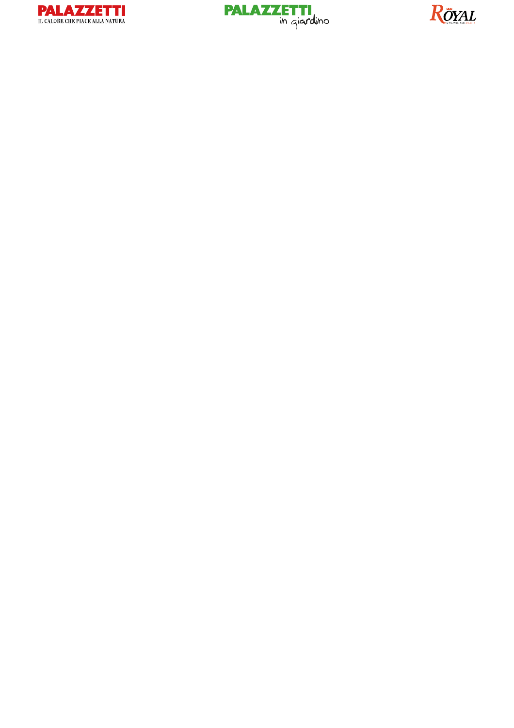



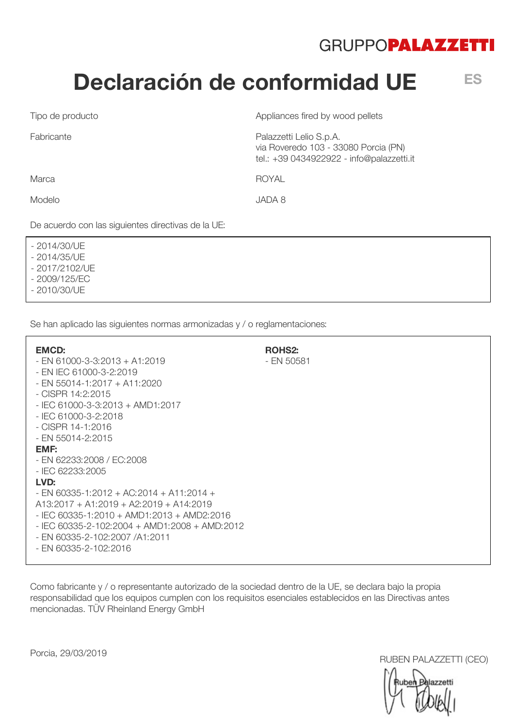### Declaración de conformidad UE ES

| Tipo de producto | Appliances fired by wood pellets                                                                             |
|------------------|--------------------------------------------------------------------------------------------------------------|
| Fabricante       | Palazzetti Lelio S.p.A.<br>via Roveredo 103 - 33080 Porcia (PN)<br>tel.: +39 0434922922 - info@palazzetti.it |
| Marca            | <b>ROYAL</b>                                                                                                 |
| Modelo           | JADA 8                                                                                                       |

De acuerdo con las siguientes directivas de la UE:

- 2014/30/UE - 2014/35/UE - 2017/2102/UE

- 2009/125/EC

- 2010/30/UE

Se han aplicado las siguientes normas armonizadas y / o reglamentaciones:

| <b>EMCD:</b>                                    | <b>ROHS2:</b> |
|-------------------------------------------------|---------------|
| $-$ EN 61000-3-3:2013 + A1:2019                 | - EN 50581    |
| - EN IEC 61000-3-2:2019                         |               |
| - EN 55014-1:2017 + A11:2020                    |               |
| $-$ CISPR 14:2:2015                             |               |
| $-$ IEC 61000-3-3:2013 + AMD1:2017              |               |
| - IEC 61000-3-2:2018                            |               |
| $-$ CISPR 14-1:2016                             |               |
| - EN 55014-2:2015                               |               |
| EMF:                                            |               |
| - EN 62233:2008 / EC:2008                       |               |
| - IEC 62233:2005                                |               |
| LVD:                                            |               |
| $-$ EN 60335-1:2012 + AC:2014 + A11:2014 +      |               |
| $A13:2017 + A1:2019 + A2:2019 + A14:2019$       |               |
| $-$ IEC 60335-1:2010 + AMD1:2013 + AMD2:2016    |               |
| $-$ IEC 60335-2-102:2004 + AMD1:2008 + AMD:2012 |               |
| - EN 60335-2-102:2007 /A1:2011                  |               |
| - EN 60335-2-102:2016                           |               |

Como fabricante y / o representante autorizado de la sociedad dentro de la UE, se declara bajo la propia responsabilidad que los equipos cumplen con los requisitos esenciales establecidos en las Directivas antes mencionadas. TÜV Rheinland Energy GmbH

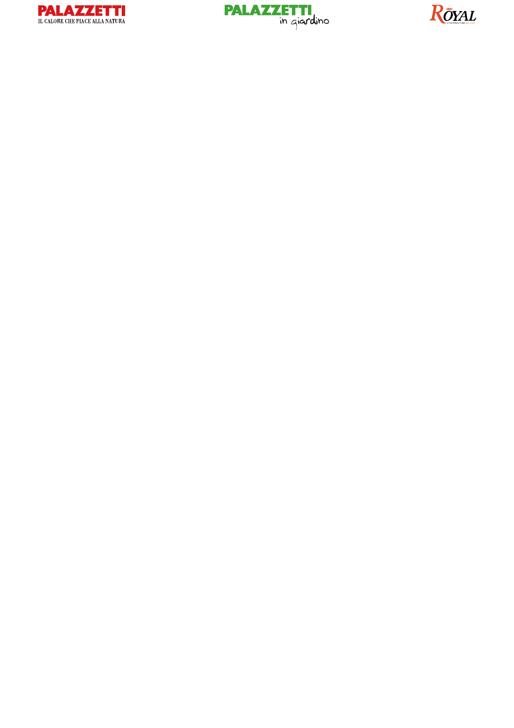



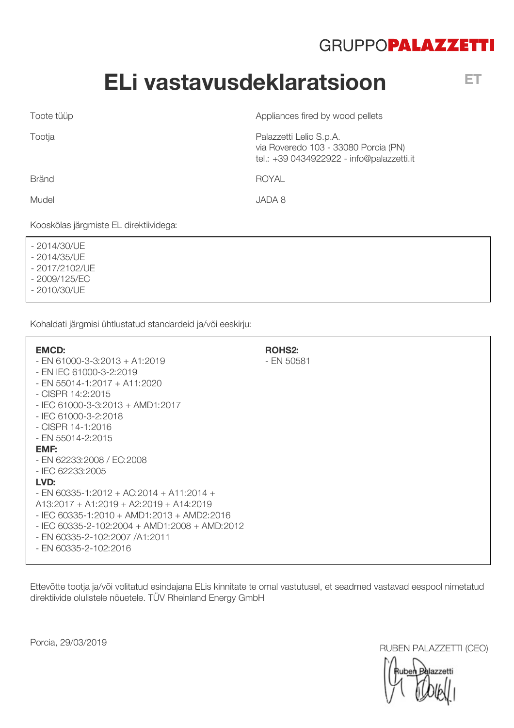### ELi vastavusdeklaratsioon ET

| Toote tüüp | Appliances fired by wood pellets                                                                             |
|------------|--------------------------------------------------------------------------------------------------------------|
| Tootja     | Palazzetti Lelio S.p.A.<br>via Roveredo 103 - 33080 Porcia (PN)<br>tel.: +39 0434922922 - info@palazzetti.it |
| Bränd      | <b>ROYAL</b>                                                                                                 |
| Mudel      | JADA 8                                                                                                       |

Kooskõlas järgmiste EL direktiividega:

- 2014/30/UE - 2014/35/UE

- 2017/2102/UE

- 2009/125/EC

- 2010/30/UE

Kohaldati järgmisi ühtlustatud standardeid ja/või eeskirju:

| <b>EMCD:</b>                                    | <b>ROHS2:</b> |
|-------------------------------------------------|---------------|
| - EN 61000-3-3:2013 + A1:2019                   | - EN 50581    |
| - EN IEC 61000-3-2:2019                         |               |
| $-$ EN 55014-1:2017 + A11:2020                  |               |
| $-$ CISPR 14:2:2015                             |               |
| - IEC 61000-3-3:2013 + AMD1:2017                |               |
| - IEC 61000-3-2:2018                            |               |
| - CISPR 14-1:2016                               |               |
| - EN 55014-2:2015                               |               |
| EMF:                                            |               |
| - EN 62233:2008 / EC:2008                       |               |
| - IEC 62233:2005                                |               |
| LVD:                                            |               |
| $-$ EN 60335-1:2012 + AC:2014 + A11:2014 +      |               |
| $A13:2017 + A1:2019 + A2:2019 + A14:2019$       |               |
| - IEC 60335-1:2010 + AMD1:2013 + AMD2:2016      |               |
| $-$ IEC 60335-2-102:2004 + AMD1:2008 + AMD:2012 |               |
| - EN 60335-2-102:2007 /A1:2011                  |               |
| - EN 60335-2-102:2016                           |               |

Ettevõtte tootja ja/või volitatud esindajana ELis kinnitate te omal vastutusel, et seadmed vastavad eespool nimetatud direktiivide olulistele nõuetele. TÜV Rheinland Energy GmbH

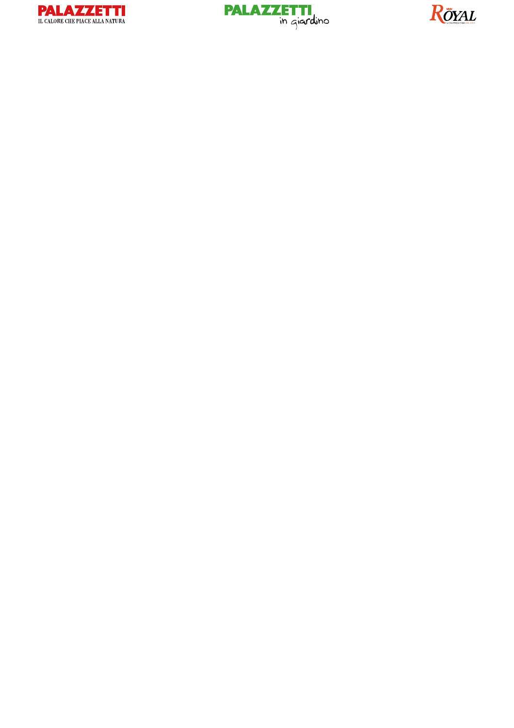



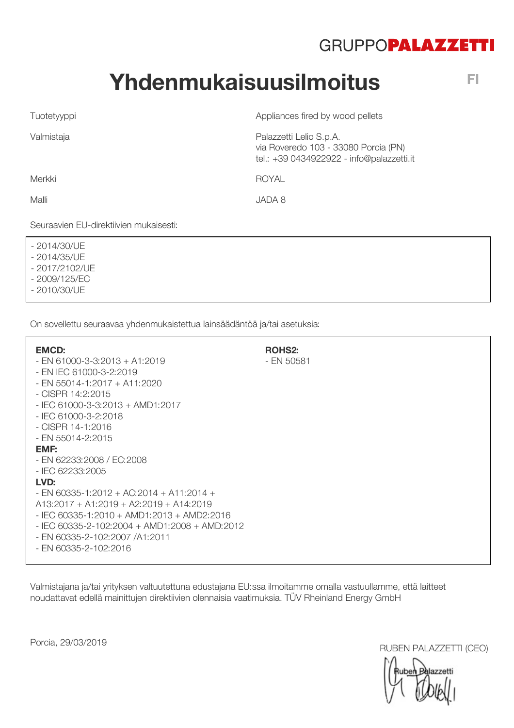### Yhdenmukaisuusilmoitus

Tuotetyyppi Appliances fired by wood pellets

Valmistaja Palazzetti Lelio S.p.A. via Roveredo 103 - 33080 Porcia (PN) tel.: +39 0434922922 - info@palazzetti.it

Merkki ROYAL

Malli JADA 8

Seuraavien EU-direktiivien mukaisesti:

- 2014/30/UE - 2014/35/UE - 2017/2102/UE

- 2009/125/EC

- 2010/30/UE

On sovellettu seuraavaa yhdenmukaistettua lainsäädäntöä ja/tai asetuksia:

| <b>EMCD:</b>                                        | <b>ROHS2:</b> |
|-----------------------------------------------------|---------------|
| - EN 61000-3-3:2013 + A1:2019                       | - EN 50581    |
| - EN IEC 61000-3-2:2019                             |               |
| - EN 55014-1:2017 + A11:2020<br>$-$ CISPR 14:2:2015 |               |
| $-$ IEC 61000-3-3:2013 + AMD1:2017                  |               |
| - IEC 61000-3-2:2018                                |               |
| $-$ CISPR 14-1:2016                                 |               |
| - EN 55014-2:2015                                   |               |
| EMF:                                                |               |
| - EN 62233:2008 / EC:2008                           |               |
| - IEC 62233:2005                                    |               |
| LVD:                                                |               |
| $-$ FN 60335-1:2012 + AC:2014 + A11:2014 +          |               |
| $A13:2017 + A1:2019 + A2:2019 + A14:2019$           |               |
| $-$ IEC 60335-1:2010 + AMD1:2013 + AMD2:2016        |               |
| $-$ IFC 60335-2-102:2004 + AMD1:2008 + AMD:2012     |               |
| - EN 60335-2-102:2007 /A1:2011                      |               |
| - FN 60335-2-102:2016                               |               |

Valmistajana ja/tai yrityksen valtuutettuna edustajana EU:ssa ilmoitamme omalla vastuullamme, että laitteet noudattavat edellä mainittujen direktiivien olennaisia vaatimuksia. TÜV Rheinland Energy GmbH

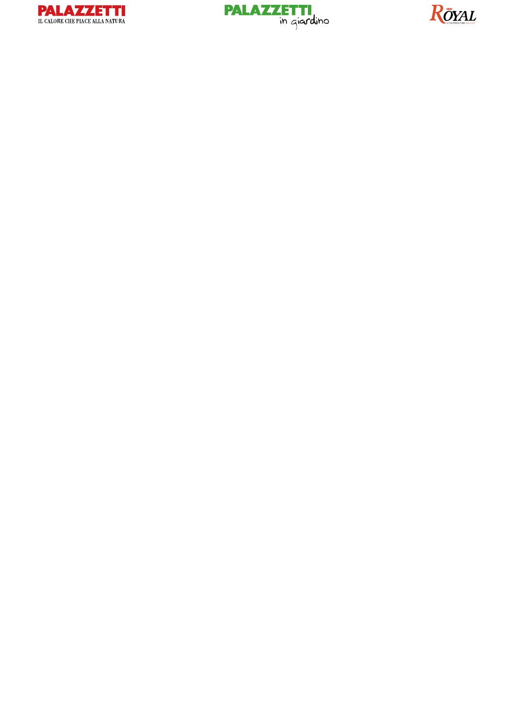



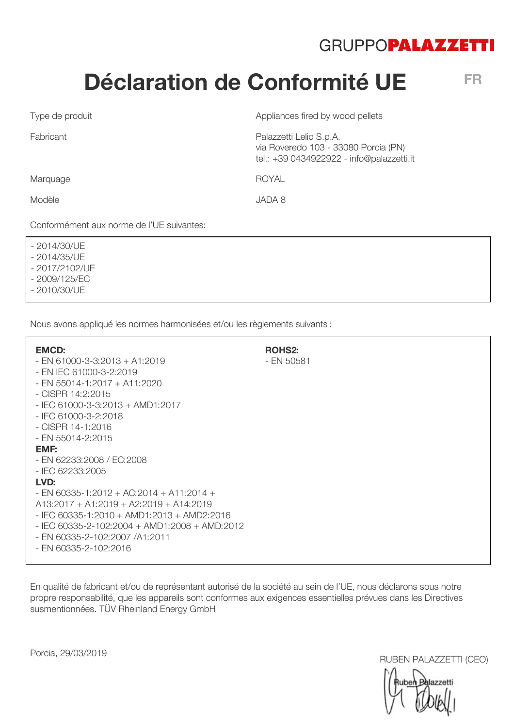### Déclaration de Conformité UE FR

Type de produit Type de produit and the control of the Appliances fired by wood pellets Fabricant Palazzetti Lelio S.p.A. via Roveredo 103 - 33080 Porcia (PN) tel.: +39 0434922922 - info@palazzetti.it Marquage ROYAL Modèle JADA 8

Conformément aux norme de l'UE suivantes:

- 2014/30/UE - 2014/35/UE

- 2017/2102/UE

- 2009/125/EC - 2010/30/UE

Nous avons appliqué les normes harmonisées et/ou les règlements suivants :

| EMCD:<br>$-$ FN 61000-3-3:2013 + A1:2019<br>- EN IEC 61000-3-2:2019<br>- EN 55014-1:2017 + A11:2020<br>- CISPR 14:2:2015<br>$-$ IEC 61000-3-3:2013 + AMD1:2017<br>- IEC 61000-3-2:2018 | <b>ROHS2:</b><br>- EN 50581 |
|----------------------------------------------------------------------------------------------------------------------------------------------------------------------------------------|-----------------------------|
| - CISPR 14-1:2016                                                                                                                                                                      |                             |
| - EN 55014-2:2015<br>EMF:                                                                                                                                                              |                             |
| - EN 62233:2008 / EC:2008<br>- IEC 62233:2005                                                                                                                                          |                             |
| LVD:                                                                                                                                                                                   |                             |
| $-$ EN 60335-1:2012 + AC:2014 + A11:2014 +                                                                                                                                             |                             |
| $A13:2017 + A1:2019 + A2:2019 + A14:2019$                                                                                                                                              |                             |
| $-$ IEC 60335-1:2010 + AMD1:2013 + AMD2:2016<br>$-$ IEC 60335-2-102:2004 + AMD1:2008 + AMD:2012                                                                                        |                             |
| - EN 60335-2-102:2007 /A1:2011                                                                                                                                                         |                             |
| - FN 60335-2-102:2016                                                                                                                                                                  |                             |

En qualité de fabricant et/ou de représentant autorisé de la société au sein de l'UE, nous déclarons sous notre propre responsabilité, que les appareils sont conformes aux exigences essentielles prévues dans les Directives susmentionnées. TÜV Rheinland Energy GmbH

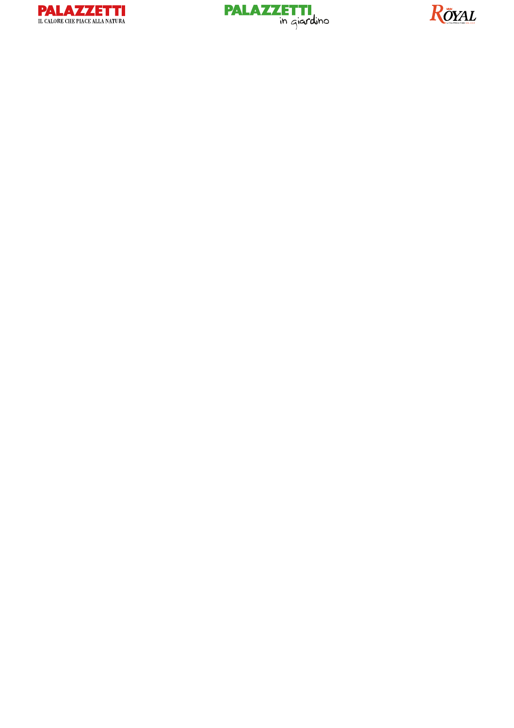



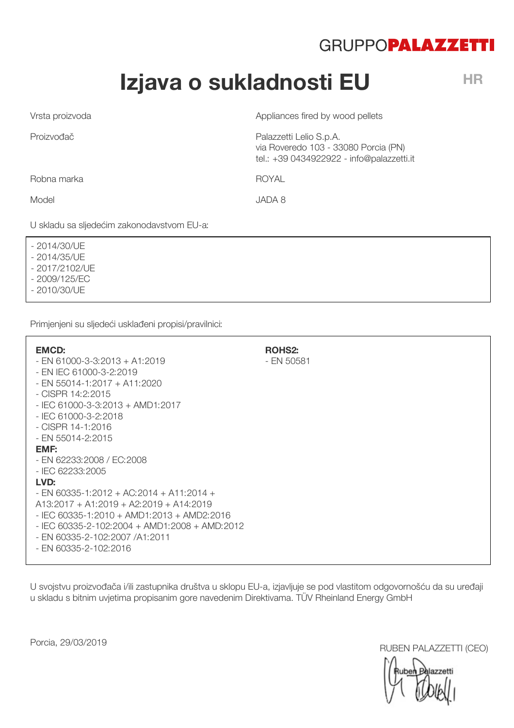

### Izjava o sukladnosti EU KRR

| Appliances fired by wood pellets<br>Vrsta proizvoda |                                                                                                              |
|-----------------------------------------------------|--------------------------------------------------------------------------------------------------------------|
| Proizvođač                                          | Palazzetti Lelio S.p.A.<br>via Roveredo 103 - 33080 Porcia (PN)<br>tel.: +39 0434922922 - info@palazzetti.it |
| Robna marka                                         | ROYAL                                                                                                        |
| Model                                               | JADA 8                                                                                                       |
|                                                     |                                                                                                              |

U skladu sa sljedećim zakonodavstvom EU-a:

- 2014/30/UE

- 2014/35/UE

- 2017/2102/UE

- 2009/125/EC

- 2010/30/UE

Primjenjeni su sljedeći usklađeni propisi/pravilnici:

| <b>EMCD:</b>                                    | <b>ROHS2:</b> |
|-------------------------------------------------|---------------|
| - EN 61000-3-3:2013 + A1:2019                   | - EN 50581    |
| - EN IEC 61000-3-2:2019                         |               |
| $-$ EN 55014-1:2017 + A11:2020                  |               |
| $-$ CISPR 14:2:2015                             |               |
| - IEC 61000-3-3:2013 + AMD1:2017                |               |
| - IEC 61000-3-2:2018                            |               |
| $-$ CISPR 14-1:2016                             |               |
| - EN 55014-2:2015                               |               |
| EMF:                                            |               |
| - EN 62233:2008 / EC:2008                       |               |
| - IEC 62233:2005                                |               |
| LVD:                                            |               |
| $-$ FN 60335-1:2012 + AC:2014 + A11:2014 +      |               |
| $A13:2017 + A1:2019 + A2:2019 + A14:2019$       |               |
| $-$ IEC 60335-1:2010 + AMD1:2013 + AMD2:2016    |               |
| $-$ IEC 60335-2-102:2004 + AMD1:2008 + AMD:2012 |               |
| - EN 60335-2-102:2007 / A1:2011                 |               |
| - EN 60335-2-102:2016                           |               |

U svojstvu proizvođača i/ili zastupnika društva u sklopu EU-a, izjavljuje se pod vlastitom odgovornošću da su uređaji u skladu s bitnim uvjetima propisanim gore navedenim Direktivama. TÜV Rheinland Energy GmbH

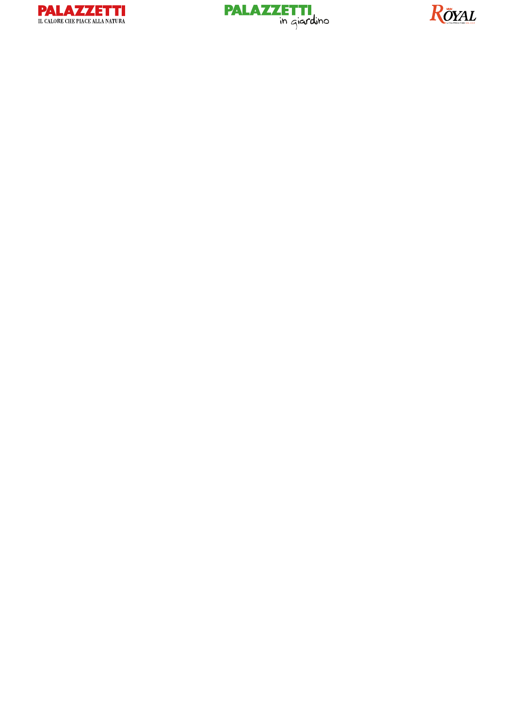



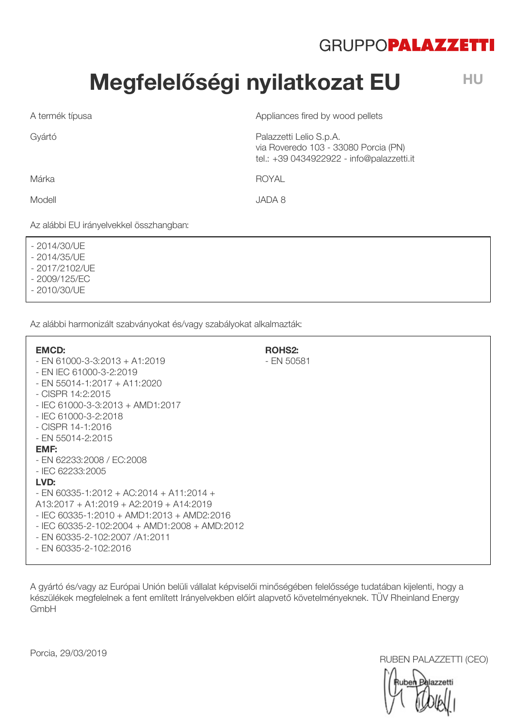## Megfelelőségi nyilatkozat EU **HU**

A termék típusa  $\blacksquare$  Appliances fired by wood pellets

Gyártó Palazzetti Lelio S.p.A. via Roveredo 103 - 33080 Porcia (PN) tel.: +39 0434922922 - info@palazzetti.it

Márka **Marka Royalama a Chuidh an Comhair** Royala

Modell JADA 8

Az alábbi EU irányelvekkel összhangban:

- 2014/30/UE - 2014/35/UE - 2017/2102/UE

- 2009/125/EC

- 2010/30/UE

Az alábbi harmonizált szabványokat és/vagy szabályokat alkalmazták:

| EMCD:                                           | <b>ROHS2:</b> |
|-------------------------------------------------|---------------|
| - EN 61000-3-3:2013 + A1:2019                   | - EN 50581    |
| - EN IEC 61000-3-2:2019                         |               |
| - EN 55014-1:2017 + A11:2020                    |               |
| - CISPR 14:2:2015                               |               |
| - IEC 61000-3-3:2013 + AMD1:2017                |               |
| - IEC 61000-3-2:2018                            |               |
| - CISPR 14-1:2016                               |               |
| - EN 55014-2:2015                               |               |
| EMF:                                            |               |
| - EN 62233:2008 / EC:2008                       |               |
| - IEC 62233:2005                                |               |
| LVD:                                            |               |
| $-$ EN 60335-1:2012 + AC:2014 + A11:2014 +      |               |
| $A13:2017 + A1:2019 + A2:2019 + A14:2019$       |               |
| $-$ IEC 60335-1:2010 + AMD1:2013 + AMD2:2016    |               |
| $-$ IEC 60335-2-102:2004 + AMD1:2008 + AMD:2012 |               |
| - EN 60335-2-102:2007 /A1:2011                  |               |
| - EN 60335-2-102:2016                           |               |

A gyártó és/vagy az Európai Unión belüli vállalat képviselői minőségében felelőssége tudatában kijelenti, hogy a készülékek megfelelnek a fent említett Irányelvekben előírt alapvető követelményeknek. TÜV Rheinland Energy GmbH

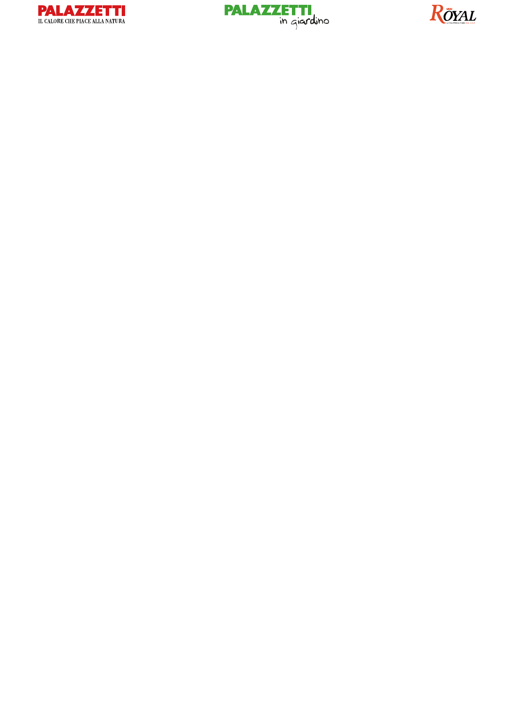



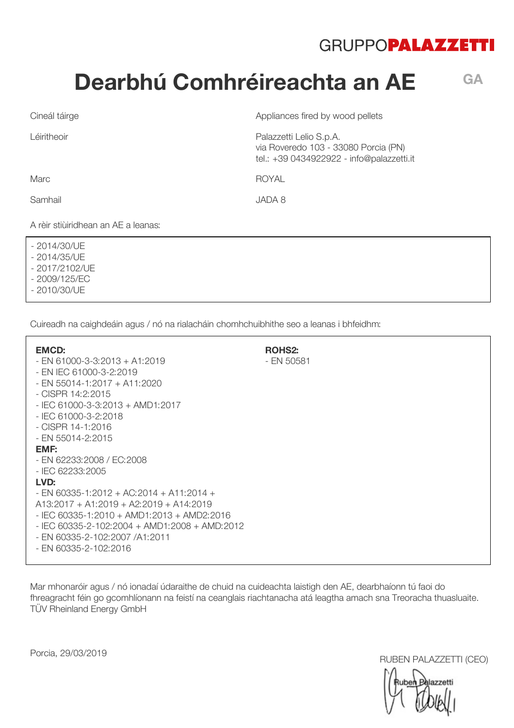## Dearbhú Comhréireachta an AE GA

Cineál táirge Appliances fired by wood pellets

Léiritheoir **Malazzetti** Lelio S.p.A. via Roveredo 103 - 33080 Porcia (PN) tel.: +39 0434922922 - info@palazzetti.it

Marc **March 2018 March 2018 ROYAL** 

Samhail JADA 8

A rèir stiùiridhean an AE a leanas:

- 2014/30/UE

- 2014/35/UE

- 2017/2102/UE

- 2009/125/EC

- 2010/30/UE

Cuireadh na caighdeáin agus / nó na rialacháin chomhchuibhithe seo a leanas i bhfeidhm:

| <b>EMCD:</b><br>- EN 61000-3-3:2013 + A1:2019<br>- EN IEC 61000-3-2:2019 | <b>ROHS2:</b><br>- EN 50581 |
|--------------------------------------------------------------------------|-----------------------------|
| $-$ EN 55014-1:2017 + A11:2020                                           |                             |
| $-$ CISPR 14:2:2015                                                      |                             |
| $-$ IFC 61000-3-3:2013 + AMD1:2017                                       |                             |
| - IEC 61000-3-2:2018                                                     |                             |
| - CISPR 14-1:2016                                                        |                             |
| $-$ FN 55014-2:2015                                                      |                             |
| EMF:                                                                     |                             |
| - EN 62233:2008 / EC:2008                                                |                             |
| - IFC 62233:2005                                                         |                             |
| LVD:<br>$-$ FN 60335-1:2012 + AC:2014 + A11:2014 +                       |                             |
| $A13:2017 + A1:2019 + A2:2019 + A14:2019$                                |                             |
| $-$ IEC 60335-1:2010 + AMD1:2013 + AMD2:2016                             |                             |
| - IEC 60335-2-102:2004 + AMD1:2008 + AMD:2012                            |                             |
| - EN 60335-2-102:2007 /A1:2011                                           |                             |

- EN 60335-2-102:2016

Mar mhonaróir agus / nó ionadaí údaraithe de chuid na cuideachta laistigh den AE, dearbhaíonn tú faoi do fhreagracht féin go gcomhlíonann na feistí na ceanglais riachtanacha atá leagtha amach sna Treoracha thuasluaite. TÜV Rheinland Energy GmbH

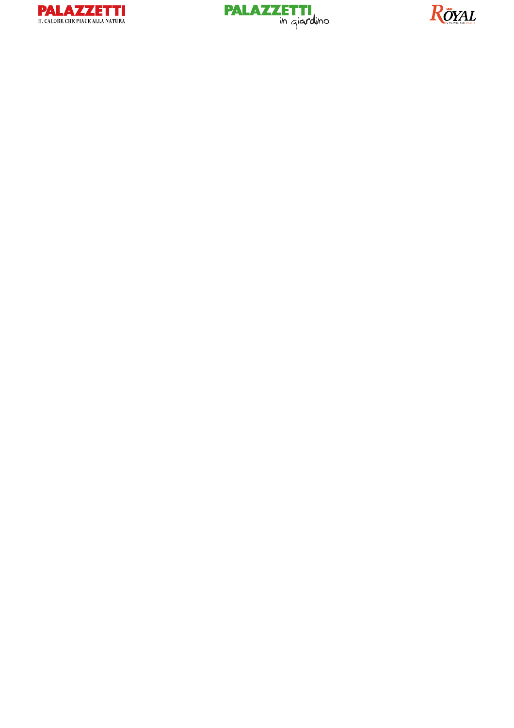



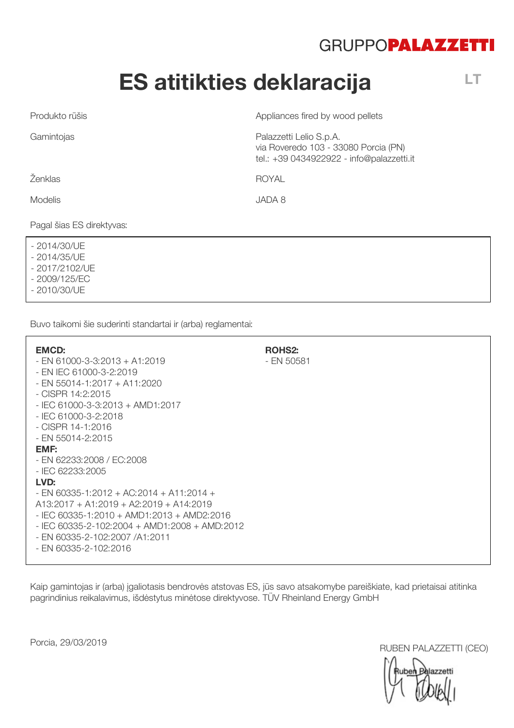### ES atitikties deklaracija FIT

| Produkto rūšis | Appliances fired by wood pellets                                                                             |  |
|----------------|--------------------------------------------------------------------------------------------------------------|--|
| Gamintojas     | Palazzetti Lelio S.p.A.<br>via Roveredo 103 - 33080 Porcia (PN)<br>tel.: +39 0434922922 - info@palazzetti.it |  |
| Ženklas        | <b>ROYAL</b>                                                                                                 |  |
| <b>Modelis</b> | JADA 8                                                                                                       |  |

Pagal šias ES direktyvas:

- 2014/30/UE

- 2014/35/UE

- 2017/2102/UE - 2009/125/EC

- 2010/30/UE

Buvo taikomi šie suderinti standartai ir (arba) reglamentai:

| <b>EMCD:</b>                                  | <b>ROHS2:</b> |
|-----------------------------------------------|---------------|
| - EN 61000-3-3:2013 + A1:2019                 | - EN 50581    |
| - EN IEC 61000-3-2:2019                       |               |
| $-$ EN 55014-1:2017 + A11:2020                |               |
| $-$ CISPR 14:2:2015                           |               |
| $-$ IEC 61000-3-3:2013 + AMD1:2017            |               |
| - IEC 61000-3-2:2018                          |               |
| - CISPR 14-1:2016                             |               |
| - EN 55014-2:2015                             |               |
| EMF:                                          |               |
| - EN 62233:2008 / EC:2008                     |               |
| - IEC 62233:2005                              |               |
| LVD:                                          |               |
| $-$ FN 60335-1:2012 + AC:2014 + A11:2014 +    |               |
| $A13:2017 + A1:2019 + A2:2019 + A14:2019$     |               |
| $-$ IEC 60335-1:2010 + AMD1:2013 + AMD2:2016  |               |
| - IEC 60335-2-102:2004 + AMD1:2008 + AMD:2012 |               |
| - EN 60335-2-102:2007 /A1:2011                |               |
| - EN 60335-2-102:2016                         |               |

Kaip gamintojas ir (arba) įgaliotasis bendrovės atstovas ES, jūs savo atsakomybe pareiškiate, kad prietaisai atitinka pagrindinius reikalavimus, išdėstytus minėtose direktyvose. TÜV Rheinland Energy GmbH

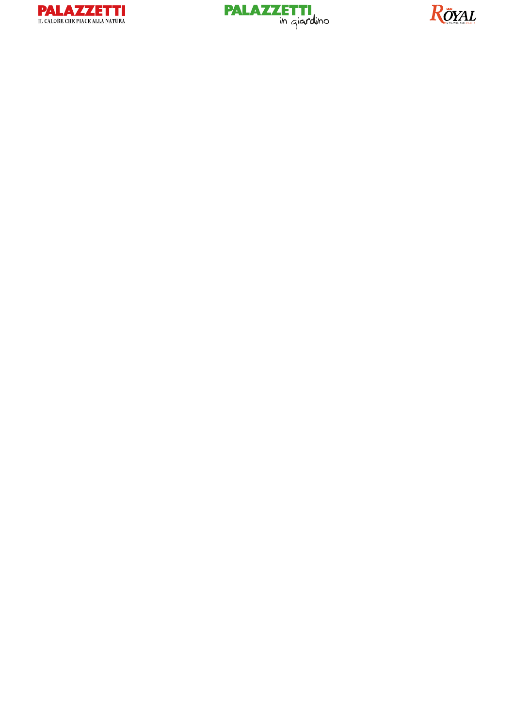



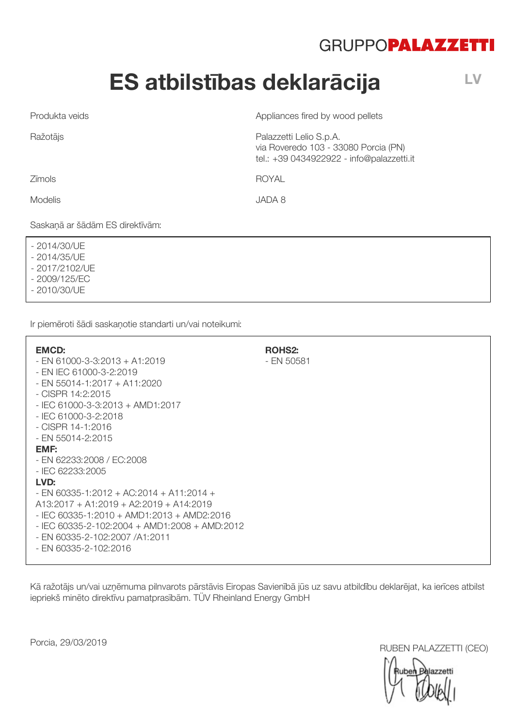### ES atbilstības deklarācija  $L_V$

Produkta veids **Appliances** fired by wood pellets Ražotājs Palazzetti Lelio S.p.A. via Roveredo 103 - 33080 Porcia (PN) tel.: +39 0434922922 - info@palazzetti.it Zīmols ROYAL

Saskaņā ar šādām ES direktīvām:

- 2014/30/UE

- 2014/35/UE

- 2017/2102/UE

- 2009/125/EC

- 2010/30/UE

Ir piemēroti šādi saskaņotie standarti un/vai noteikumi:

Modelis JADA 8

| <b>EMCD:</b>                                             | <b>ROHS2:</b> |
|----------------------------------------------------------|---------------|
| - EN 61000-3-3:2013 + A1:2019<br>- EN IEC 61000-3-2:2019 | - EN 50581    |
| $-$ EN 55014-1:2017 + A11:2020                           |               |
| $-$ CISPR 14:2:2015                                      |               |
| $-$ IEC 61000-3-3:2013 + AMD1:2017                       |               |
| - IEC 61000-3-2:2018                                     |               |
| - CISPR 14-1:2016                                        |               |
| - EN 55014-2:2015                                        |               |
| EMF:                                                     |               |
| - EN 62233:2008 / EC:2008                                |               |
| - IEC 62233:2005                                         |               |
| LVD:                                                     |               |
| $-$ EN 60335-1:2012 + AC:2014 + A11:2014 +               |               |
| $A13:2017 + A1:2019 + A2:2019 + A14:2019$                |               |
| $-$ IEC 60335-1:2010 + AMD1:2013 + AMD2:2016             |               |
| $-$ IEC 60335-2-102:2004 + AMD1:2008 + AMD:2012          |               |
| - EN 60335-2-102:2007 /A1:2011                           |               |
| - EN 60335-2-102:2016                                    |               |

Kā ražotājs un/vai uzņēmuma pilnvarots pārstāvis Eiropas Savienībā jūs uz savu atbildību deklarējat, ka ierīces atbilst iepriekš minēto direktīvu pamatprasībām. TÜV Rheinland Energy GmbH

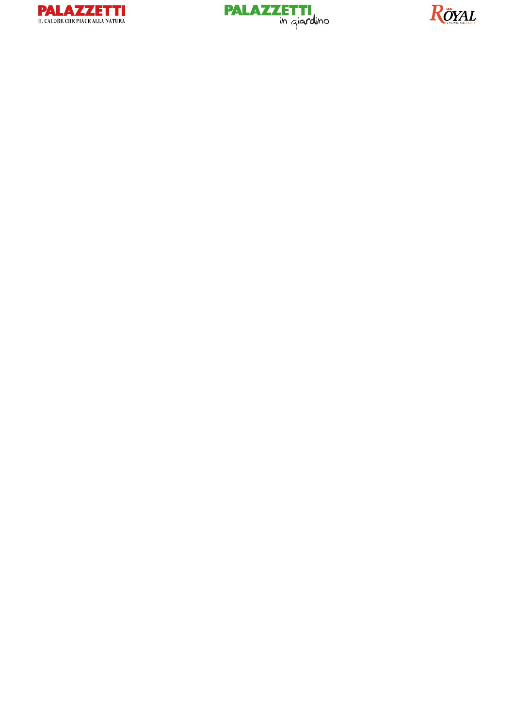



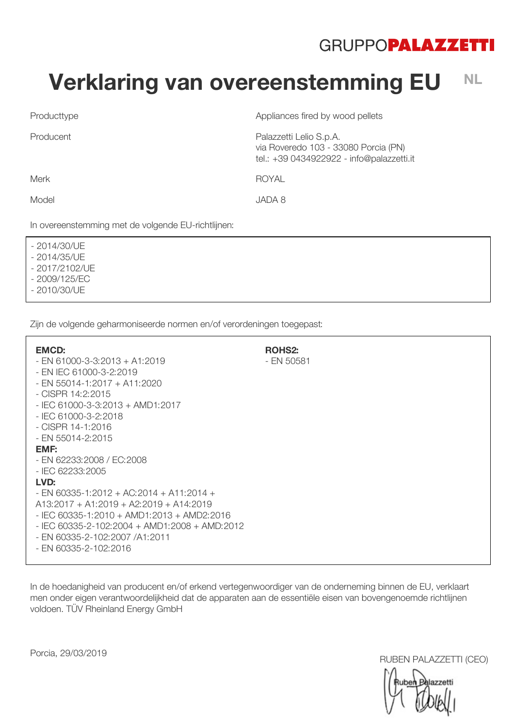### Verklaring van overeenstemming EU NL

| Producttype |  |
|-------------|--|
|             |  |

ducttype ducttype and the Appliances fired by wood pellets

Producent Producent Palazzetti Lelio S.p.A. via Roveredo 103 - 33080 Porcia (PN) tel.: +39 0434922922 - info@palazzetti.it

Merk ROYAL

In overeenstemming met de volgende EU-richtlijnen:

- 2014/30/UE

- 2014/35/UE

- 2017/2102/UE

- 2009/125/EC

- 2010/30/UE

Zijn de volgende geharmoniseerde normen en/of verordeningen toegepast:

Model JADA 8

| <b>EMCD:</b>                                    | <b>ROHS2:</b> |
|-------------------------------------------------|---------------|
| - EN 61000-3-3:2013 + A1:2019                   | - EN 50581    |
| - EN IEC 61000-3-2:2019                         |               |
| - EN 55014-1:2017 + A11:2020                    |               |
| $-$ CISPR 14:2:2015                             |               |
| $-$ IEC 61000-3-3:2013 + AMD1:2017              |               |
| - IEC 61000-3-2:2018                            |               |
| $-$ CISPR 14-1:2016                             |               |
| - EN 55014-2:2015                               |               |
| EMF:                                            |               |
| - EN 62233:2008 / EC:2008                       |               |
| - IEC 62233:2005                                |               |
| LVD:                                            |               |
| $-$ FN 60335-1:2012 + AC:2014 + A11:2014 +      |               |
| $A13:2017 + A1:2019 + A2:2019 + A14:2019$       |               |
| $-$ IEC 60335-1:2010 + AMD1:2013 + AMD2:2016    |               |
| $-$ IEC 60335-2-102:2004 + AMD1:2008 + AMD:2012 |               |
| - EN 60335-2-102:2007 /A1:2011                  |               |
| - FN 60335-2-102:2016                           |               |

In de hoedanigheid van producent en/of erkend vertegenwoordiger van de onderneming binnen de EU, verklaart men onder eigen verantwoordelijkheid dat de apparaten aan de essentiële eisen van bovengenoemde richtlijnen voldoen. TÜV Rheinland Energy GmbH

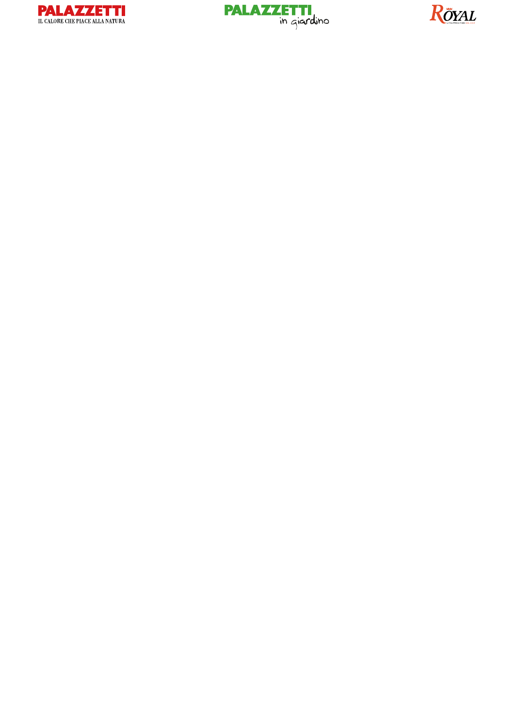



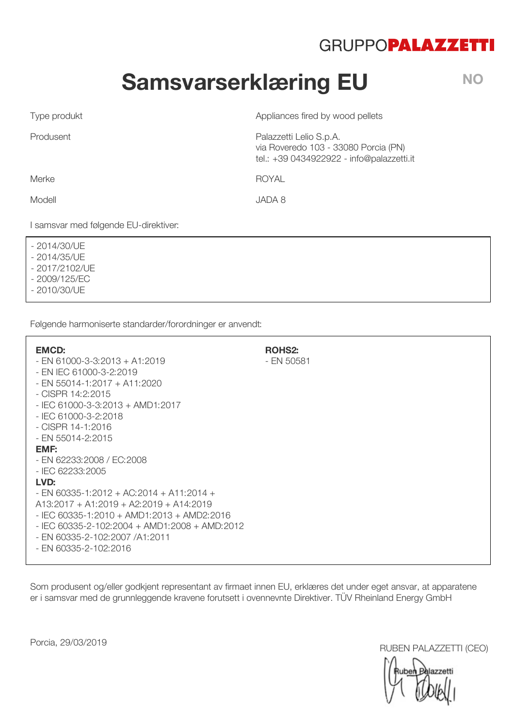

### Samsvarserklæring EU NO

Type produkt Type and the Type produkt Appliances fired by wood pellets

Produsent Produsent Palazzetti Lelio S.p.A. via Roveredo 103 - 33080 Porcia (PN) tel.: +39 0434922922 - info@palazzetti.it

Merke ROYAL

Modell JADA 8

I samsvar med følgende EU-direktiver:

- 2014/30/UE

- 2014/35/UE

- 2017/2102/UE

- 2009/125/EC

- 2010/30/UE

Følgende harmoniserte standarder/forordninger er anvendt:

| <b>EMCD:</b><br>- EN 61000-3-3:2013 + A1:2019<br>- FN IFC 61000-3-2:2019<br>$-$ EN 55014-1:2017 + A11:2020<br>- CISPR 14:2:2015<br>$-$ IEC 61000-3-3:2013 + AMD1:2017<br>- IEC 61000-3-2:2018<br>- CISPR 14-1:2016 | <b>ROHS2:</b><br>- EN 50581 |  |  |
|--------------------------------------------------------------------------------------------------------------------------------------------------------------------------------------------------------------------|-----------------------------|--|--|
| - EN 55014-2:2015                                                                                                                                                                                                  |                             |  |  |
| EMF:                                                                                                                                                                                                               |                             |  |  |
| - EN 62233:2008 / EC:2008                                                                                                                                                                                          |                             |  |  |
| - IEC 62233:2005                                                                                                                                                                                                   |                             |  |  |
| LVD:                                                                                                                                                                                                               |                             |  |  |
| $-$ FN 60335-1:2012 + AC:2014 + A11:2014 +                                                                                                                                                                         |                             |  |  |
| $A13:2017 + A1:2019 + A2:2019 + A14:2019$                                                                                                                                                                          |                             |  |  |
| $-$ IEC 60335-1:2010 + AMD1:2013 + AMD2:2016                                                                                                                                                                       |                             |  |  |
| - IEC 60335-2-102:2004 + AMD1:2008 + AMD:2012                                                                                                                                                                      |                             |  |  |
| - EN 60335-2-102:2007 /A1:2011                                                                                                                                                                                     |                             |  |  |
| - EN 60335-2-102:2016                                                                                                                                                                                              |                             |  |  |

Som produsent og/eller godkjent representant av firmaet innen EU, erklæres det under eget ansvar, at apparatene er i samsvar med de grunnleggende kravene forutsett i ovennevnte Direktiver. TÜV Rheinland Energy GmbH

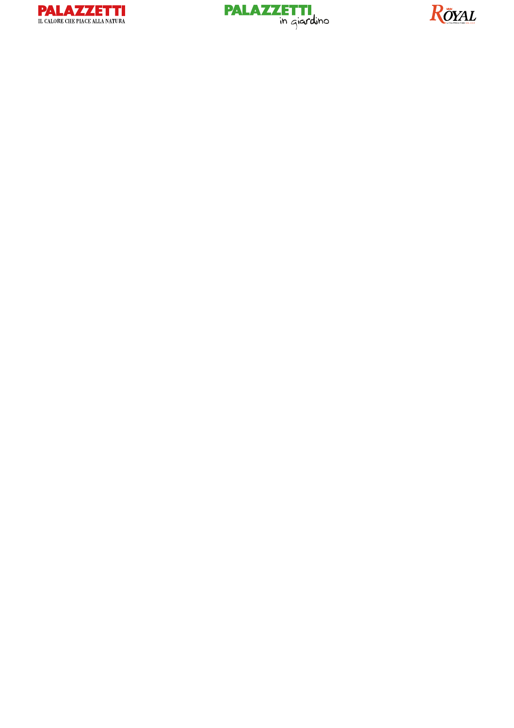



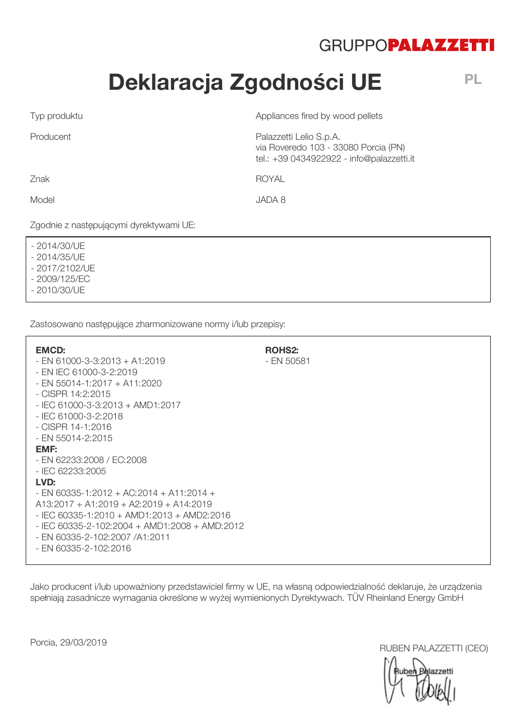

## Deklaracja Zgodności UE PL

Typ produktu Appliances fired by wood pellets

Producent Producent Palazzetti Lelio S.p.A. via Roveredo 103 - 33080 Porcia (PN) tel.: +39 0434922922 - info@palazzetti.it

Znak ROYAL

Model JADA 8

Zgodnie z następującymi dyrektywami UE:

- 2014/30/UE

- 2014/35/UE

- 2017/2102/UE

- 2009/125/EC - 2010/30/UE

Zastosowano następujące zharmonizowane normy i/lub przepisy:

| <b>EMCD:</b><br>- EN 61000-3-3:2013 + A1:2019<br>- EN IEC 61000-3-2:2019<br>$-$ EN 55014-1:2017 + A11:2020<br>$-$ CISPR 14:2:2015 | <b>ROHS2:</b><br>- EN 50581 |
|-----------------------------------------------------------------------------------------------------------------------------------|-----------------------------|
| - IEC 61000-3-3:2013 + AMD1:2017                                                                                                  |                             |
| - IEC 61000-3-2:2018<br>- CISPR 14-1:2016                                                                                         |                             |
| - EN 55014-2:2015                                                                                                                 |                             |
| EMF:                                                                                                                              |                             |
| - EN 62233:2008 / EC:2008                                                                                                         |                             |
| - IEC 62233:2005                                                                                                                  |                             |
| LVD:                                                                                                                              |                             |
| $-$ EN 60335-1:2012 + AC:2014 + A11:2014 +                                                                                        |                             |
| $A13:2017 + A1:2019 + A2:2019 + A14:2019$                                                                                         |                             |
| $-$ IEC 60335-1:2010 + AMD1:2013 + AMD2:2016                                                                                      |                             |
| - IEC 60335-2-102:2004 + AMD1:2008 + AMD:2012                                                                                     |                             |
| - EN 60335-2-102:2007 / A1:2011                                                                                                   |                             |
| - EN 60335-2-102:2016                                                                                                             |                             |

Jako producent i/lub upoważniony przedstawiciel firmy w UE, na własną odpowiedzialność deklaruje, że urządzenia spełniają zasadnicze wymagania określone w wyżej wymienionych Dyrektywach. TÜV Rheinland Energy GmbH

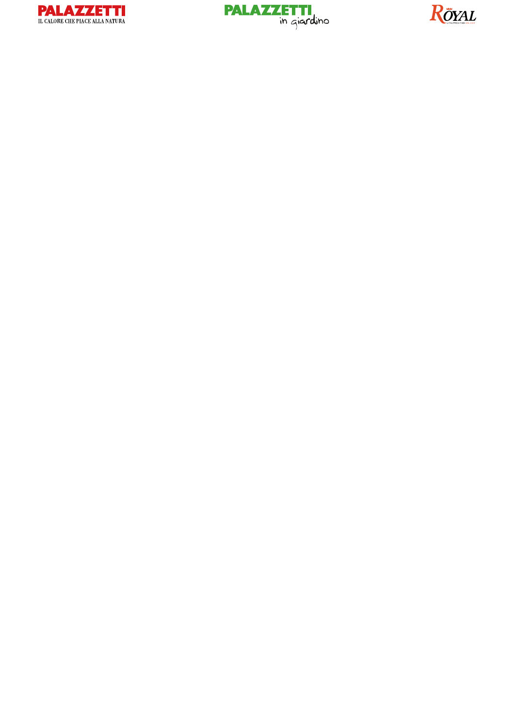



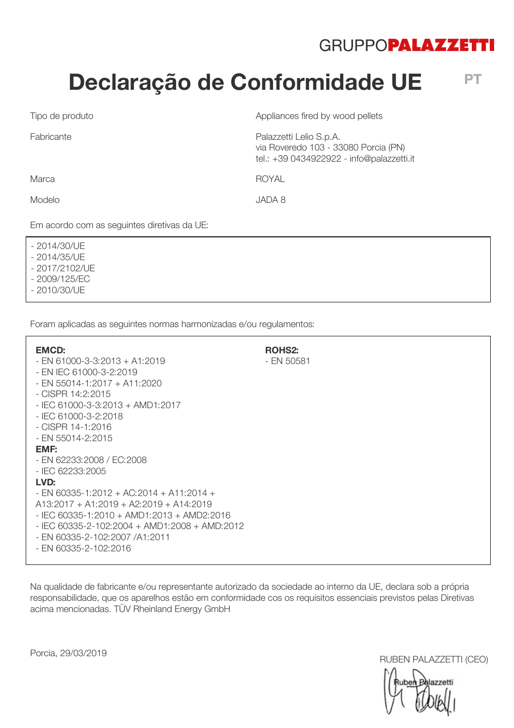## Declaração de Conformidade UE PT

Tipo de produto and a second and the Appliances fired by wood pellets

Fabricante Palazzetti Lelio S.p.A. via Roveredo 103 - 33080 Porcia (PN) tel.: +39 0434922922 - info@palazzetti.it

Marca ROYAL

Modelo JADA 8

Em acordo com as seguintes diretivas da UE:

- 2014/30/UE - 2014/35/UE

- 2017/2102/UE

- 2009/125/EC

- 2010/30/UE

Foram aplicadas as seguintes normas harmonizadas e/ou regulamentos:

| <b>EMCD:</b>                                    | <b>ROHS2:</b> |
|-------------------------------------------------|---------------|
| $-$ EN 61000-3-3:2013 + A1:2019                 | - EN 50581    |
| - EN IEC 61000-3-2:2019                         |               |
| - EN 55014-1:2017 + A11:2020                    |               |
| $-$ CISPR 14:2:2015                             |               |
| - IEC 61000-3-3:2013 + AMD1:2017                |               |
| - IEC 61000-3-2:2018                            |               |
| $-$ CISPR 14-1:2016                             |               |
| - EN 55014-2:2015                               |               |
| EMF:                                            |               |
| - EN 62233:2008 / EC:2008                       |               |
| - IEC 62233:2005                                |               |
| LVD:                                            |               |
| $-$ FN 60335-1:2012 + AC:2014 + A11:2014 +      |               |
| $A13:2017 + A1:2019 + A2:2019 + A14:2019$       |               |
| $-$ IEC 60335-1:2010 + AMD1:2013 + AMD2:2016    |               |
| $-$ IEC 60335-2-102:2004 + AMD1:2008 + AMD:2012 |               |
| - EN 60335-2-102:2007 / A1:2011                 |               |
| - EN 60335-2-102:2016                           |               |

Na qualidade de fabricante e/ou representante autorizado da sociedade ao interno da UE, declara sob a própria responsabilidade, que os aparelhos estão em conformidade cos os requisitos essenciais previstos pelas Diretivas acima mencionadas. TÜV Rheinland Energy GmbH

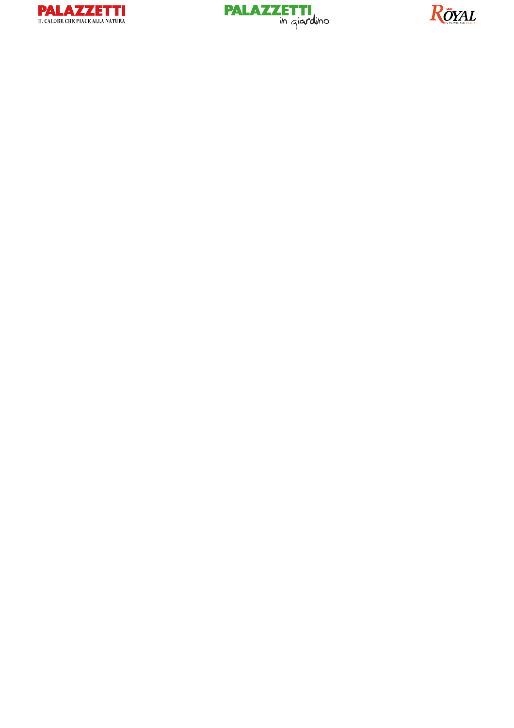



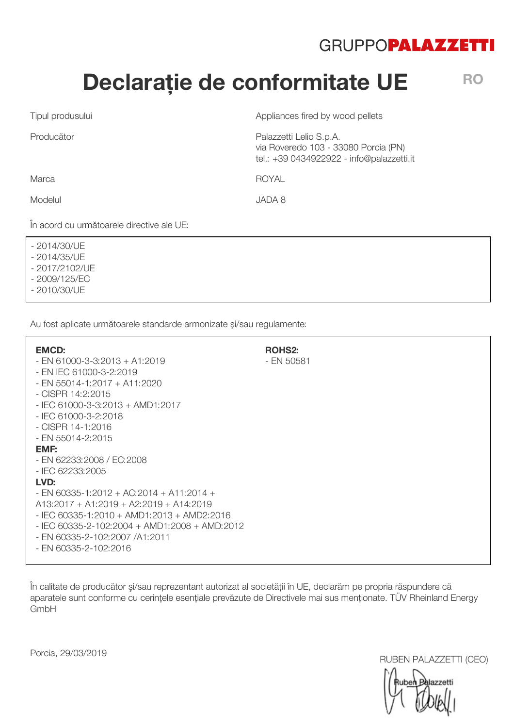## Declarație de conformitate UE RO

Tipul produsului Appliances fired by wood pellets

Producător **Producător** Palazzetti Lelio S.p.A. via Roveredo 103 - 33080 Porcia (PN) tel.: +39 0434922922 - info@palazzetti.it

Marca ROYAL

Modelul JADA 8

În acord cu următoarele directive ale UE:

- 2014/30/UE

- 2014/35/UE

- 2017/2102/UE - 2009/125/EC

- 2010/30/UE

Au fost aplicate următoarele standarde armonizate şi/sau regulamente:

| <b>EMCD:</b> |                                                 | <b>ROHS2:</b> |  |
|--------------|-------------------------------------------------|---------------|--|
|              | - EN 61000-3-3:2013 + A1:2019                   | - EN 50581    |  |
|              | - EN IEC 61000-3-2:2019                         |               |  |
|              | - EN 55014-1:2017 + A11:2020                    |               |  |
|              | - CISPR 14:2:2015                               |               |  |
|              | $-$ IEC 61000-3-3:2013 + AMD1:2017              |               |  |
|              | - IEC 61000-3-2:2018                            |               |  |
|              | - CISPR 14-1:2016                               |               |  |
|              | - EN 55014-2:2015                               |               |  |
| EMF:         |                                                 |               |  |
|              | - EN 62233:2008 / EC:2008                       |               |  |
|              | - IEC 62233:2005                                |               |  |
| LVD:         |                                                 |               |  |
|              | $-$ FN 60335-1:2012 + AC:2014 + A11:2014 +      |               |  |
|              | $A13:2017 + A1:2019 + A2:2019 + A14:2019$       |               |  |
|              | $-$ IEC 60335-1:2010 + AMD1:2013 + AMD2:2016    |               |  |
|              | $-$ IFC 60335-2-102:2004 + AMD1:2008 + AMD:2012 |               |  |
|              | - EN 60335-2-102:2007 /A1:2011                  |               |  |
|              | - FN 60335-2-102:2016                           |               |  |

În calitate de producător şi/sau reprezentant autorizat al societăţii în UE, declarăm pe propria răspundere că aparatele sunt conforme cu cerințele esențiale prevăzute de Directivele mai sus menționate. TÜV Rheinland Energy GmbH

Porcia, 29/03/2019<br>
RUBEN PALAZZETTI (CEO)

# **Palazzetti**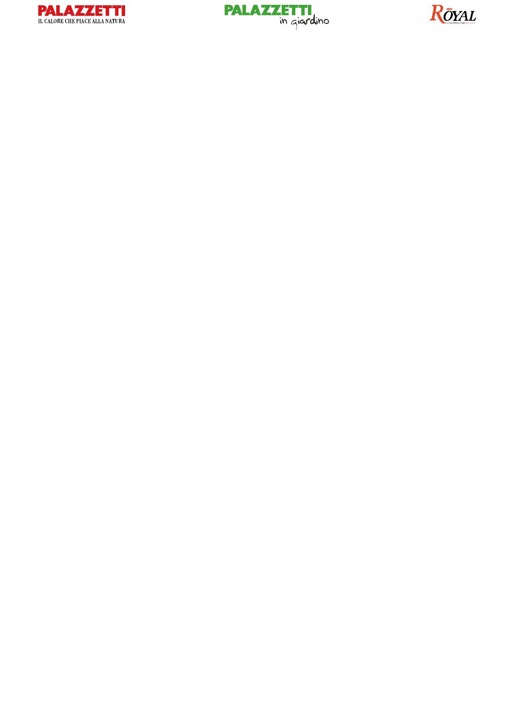



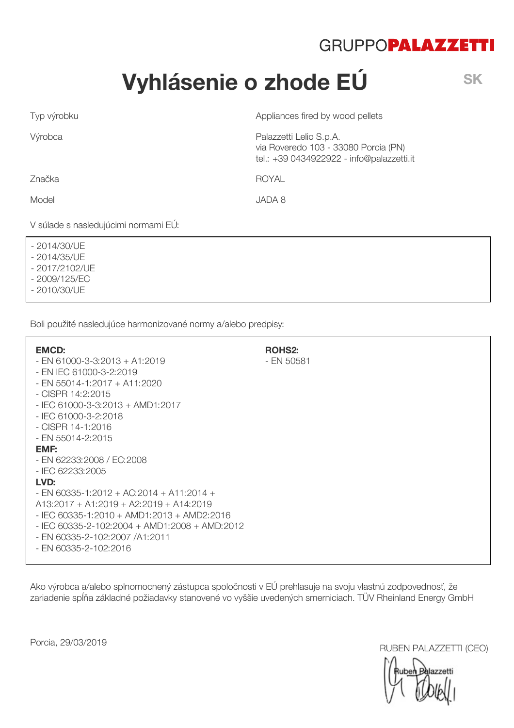

## Vyhlásenie o zhode EÚ SK

Typ výrobku Appliances fired by wood pellets

Výrobca Palazzetti Lelio S.p.A. via Roveredo 103 - 33080 Porcia (PN) tel.: +39 0434922922 - info@palazzetti.it

Značka komunističnom kontrologija i komunističnom kontrologija i komunističnom komunističnom komunističnom kom

Model JADA 8

V súlade s nasledujúcimi normami EÚ:

- 2014/30/UE

- 2014/35/UE

- 2017/2102/UE

- 2009/125/EC

- 2010/30/UE

Boli použité nasledujúce harmonizované normy a/alebo predpisy:

| EMCD:                                           | <b>ROHS2:</b> |
|-------------------------------------------------|---------------|
| - EN 61000-3-3:2013 + A1:2019                   | - EN 50581    |
| - EN IEC 61000-3-2:2019                         |               |
| - EN 55014-1:2017 + A11:2020                    |               |
| $-$ CISPR 14:2:2015                             |               |
| $-$ IEC 61000-3-3:2013 + AMD1:2017              |               |
| - IEC 61000-3-2:2018                            |               |
| $-$ CISPR 14-1:2016                             |               |
| - EN 55014-2:2015                               |               |
| EMF:                                            |               |
| - EN 62233:2008 / EC:2008                       |               |
| - IEC 62233:2005                                |               |
| LVD:                                            |               |
| $-$ FN 60335-1:2012 + AC:2014 + A11:2014 +      |               |
| $A13:2017 + A1:2019 + A2:2019 + A14:2019$       |               |
| $-$ IEC 60335-1:2010 + AMD1:2013 + AMD2:2016    |               |
| $-$ IEC 60335-2-102:2004 + AMD1:2008 + AMD:2012 |               |
| - EN 60335-2-102:2007 /A1:2011                  |               |
| - EN 60335-2-102:2016                           |               |

Ako výrobca a/alebo splnomocnený zástupca spoločnosti v EÚ prehlasuje na svoju vlastnú zodpovednosť, že zariadenie spĺňa základné požiadavky stanovené vo vyššie uvedených smerniciach. TÜV Rheinland Energy GmbH

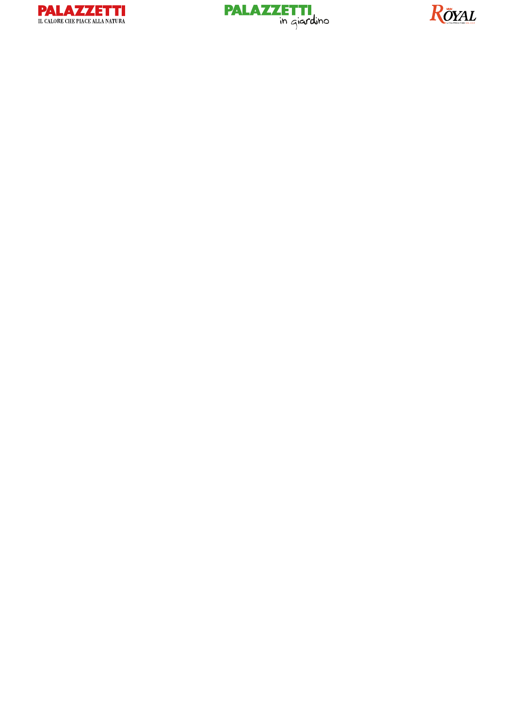



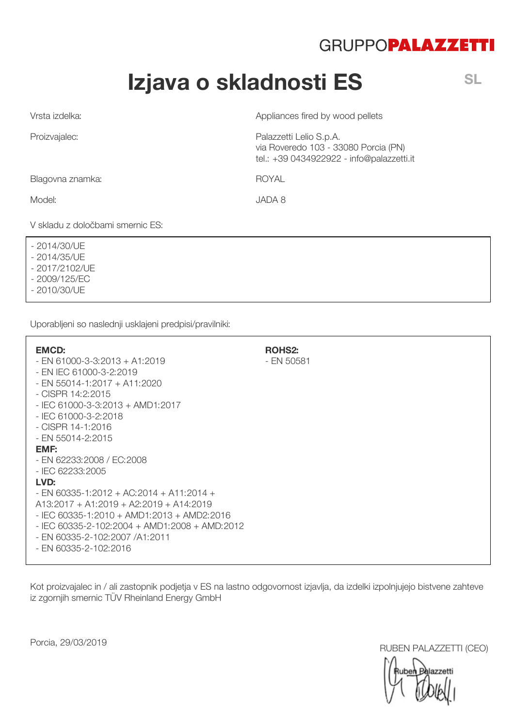

### Izjava o skladnosti ES SL

Vrsta izdelka: Appliances fired by wood pellets Proizvajalec: Proizvajalec: Palazzetti Lelio S.p.A. via Roveredo 103 - 33080 Porcia (PN) tel.: +39 0434922922 - info@palazzetti.it Blagovna znamka: eta alian eta alian eta alian eta alian eta alian eta alian eta alian eta alian eta alian eta

Model: JADA 8

V skladu z določbami smernic ES:

- 2014/30/UE

- 2014/35/UE

- 2017/2102/UE

- 2009/125/EC

- 2010/30/UE

Uporabljeni so naslednji usklajeni predpisi/pravilniki:

| <b>EMCD:</b>                                    | <b>ROHS2:</b> |
|-------------------------------------------------|---------------|
| - EN 61000-3-3:2013 + A1:2019                   | - EN 50581    |
| - EN IEC 61000-3-2:2019                         |               |
| $-$ EN 55014-1:2017 + A11:2020                  |               |
| $-$ CISPR 14:2:2015                             |               |
| $-$ IEC 61000-3-3:2013 + AMD1:2017              |               |
| - IEC 61000-3-2:2018                            |               |
| $-$ CISPR 14-1:2016                             |               |
| - EN 55014-2:2015                               |               |
| EMF:                                            |               |
| - EN 62233:2008 / EC:2008                       |               |
| - IEC 62233:2005                                |               |
| LVD:                                            |               |
| $-$ EN 60335-1:2012 + AC:2014 + A11:2014 +      |               |
| $A13:2017 + A1:2019 + A2:2019 + A14:2019$       |               |
| $-$ IEC 60335-1:2010 + AMD1:2013 + AMD2:2016    |               |
| $-$ IEC 60335-2-102:2004 + AMD1:2008 + AMD:2012 |               |
| - EN 60335-2-102:2007 /A1:2011                  |               |
| - EN 60335-2-102:2016                           |               |

Kot proizvajalec in / ali zastopnik podjetja v ES na lastno odgovornost izjavlja, da izdelki izpolnjujejo bistvene zahteve iz zgornjih smernic TÜV Rheinland Energy GmbH

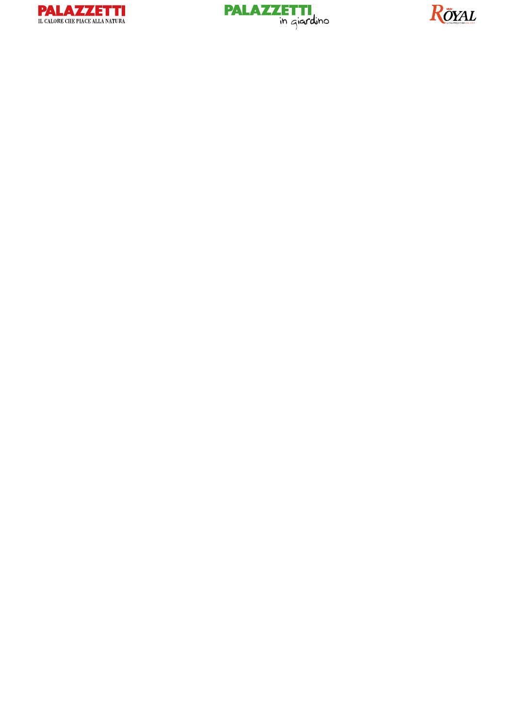



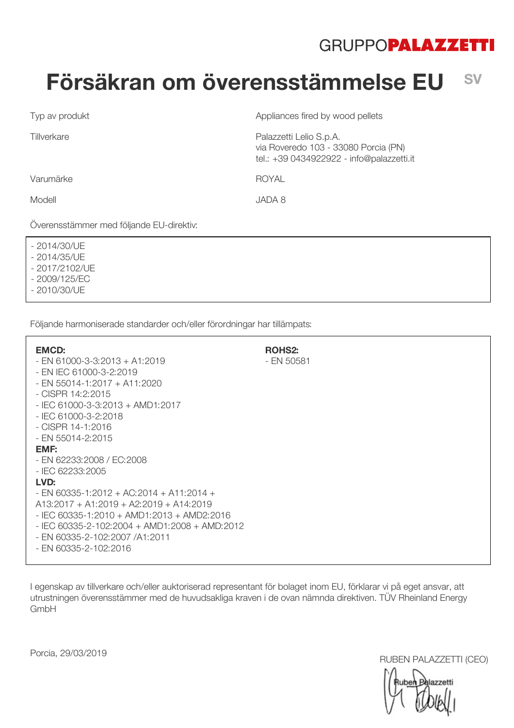### Försäkran om överensstämmelse EU sv

Typ av produkt Typ av produkt Appliances fired by wood pellets

Tillverkare **Palazzetti Lelio S.p.A.** 

Varumärke ROYAL

via Roveredo 103 - 33080 Porcia (PN) tel.: +39 0434922922 - info@palazzetti.it

Modell JADA 8

Överensstämmer med följande EU-direktiv:

- 2014/30/UE

- 2014/35/UE

- 2017/2102/UE

- 2009/125/EC

- 2010/30/UE

Följande harmoniserade standarder och/eller förordningar har tillämpats:

| <b>EMCD:</b>                                  | <b>ROHS2:</b> |
|-----------------------------------------------|---------------|
| - EN 61000-3-3:2013 + A1:2019                 | - EN 50581    |
| - EN IEC 61000-3-2:2019                       |               |
| - EN 55014-1:2017 + A11:2020                  |               |
| $-$ CISPR 14:2:2015                           |               |
| - IEC 61000-3-3:2013 + AMD1:2017              |               |
| - IEC 61000-3-2:2018                          |               |
| - CISPR 14-1:2016                             |               |
| - EN 55014-2:2015                             |               |
| EMF:                                          |               |
| - EN 62233:2008 / EC:2008                     |               |
| - IEC 62233:2005                              |               |
| LVD:                                          |               |
| $-$ FN 60335-1:2012 + AC:2014 + A11:2014 +    |               |
| $A13:2017 + A1:2019 + A2:2019 + A14:2019$     |               |
| $-$ IEC 60335-1:2010 + AMD1:2013 + AMD2:2016  |               |
| - IEC 60335-2-102:2004 + AMD1:2008 + AMD:2012 |               |
| - EN 60335-2-102:2007 /A1:2011                |               |
| - FN 60335-2-102:2016                         |               |

I egenskap av tillverkare och/eller auktoriserad representant för bolaget inom EU, förklarar vi på eget ansvar, att utrustningen överensstämmer med de huvudsakliga kraven i de ovan nämnda direktiven. TÜV Rheinland Energy GmbH